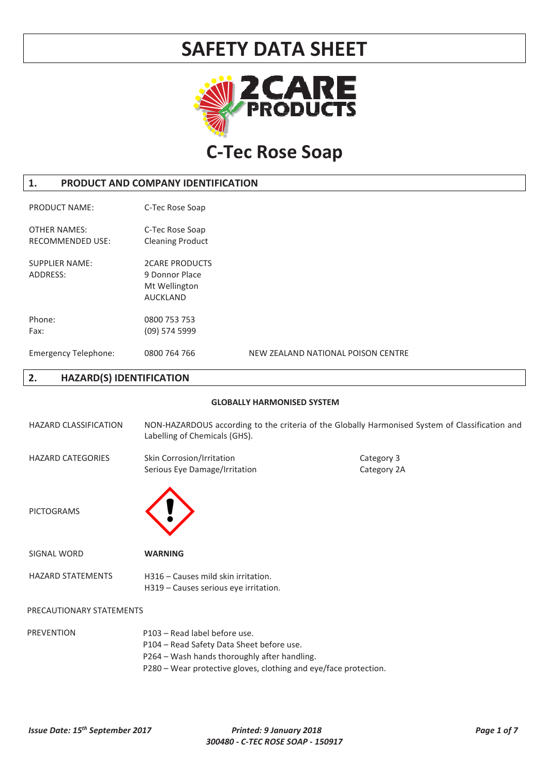

# **C-Tec Rose Soap**

### **1. PRODUCT AND COMPANY IDENTIFICATION**

PRODUCT NAME: C-Tec Rose Soap OTHER NAMES: C-Tec Rose Soap RECOMMENDED USE: Cleaning Product SUPPLIER NAME: 2CARE PRODUCTS ADDRESS: 9 Donnor Place Mt Wellington AUCKLAND Phone: 0800 753 753 Fax: (09) 574 5999 Emergency Telephone: 0800 764 766 NEW ZEALAND NATIONAL POISON CENTRE

### **2. HAZARD(S) IDENTIFICATION**

#### **GLOBALLY HARMONISED SYSTEM**

| <b>HAZARD CLASSIFICATION</b> | NON-HAZARDOUS according to the criteria of the Globally Harmonised System of Classification and<br>Labelling of Chemicals (GHS). |                           |
|------------------------------|----------------------------------------------------------------------------------------------------------------------------------|---------------------------|
| <b>HAZARD CATEGORIES</b>     | Skin Corrosion/Irritation<br>Serious Eye Damage/Irritation                                                                       | Category 3<br>Category 2A |
| <b>PICTOGRAMS</b>            |                                                                                                                                  |                           |
| <b>SIGNAL WORD</b>           | <b>WARNING</b>                                                                                                                   |                           |
| <b>HAZARD STATEMENTS</b>     | H316 - Causes mild skin irritation.<br>H319 – Causes serious eye irritation.                                                     |                           |
| PRECAUTIONARY STATEMENTS     |                                                                                                                                  |                           |
| <b>PREVENTION</b>            | P103 - Read label before use.<br>P104 - Read Safety Data Sheet before use.<br>P264 - Wash hands thoroughly after handling.       |                           |

P280 – Wear protective gloves, clothing and eye/face protection.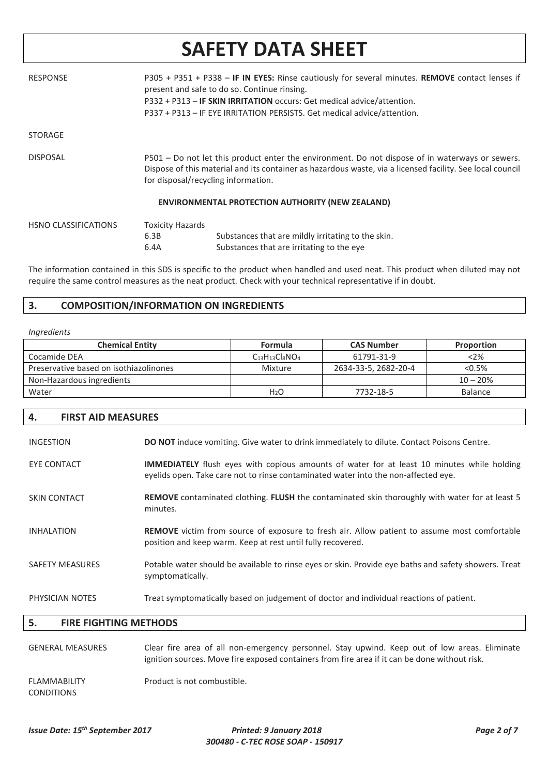| <b>RESPONSE</b>             |                                 | P305 + P351 + P338 - IF IN EYES: Rinse cautiously for several minutes. REMOVE contact lenses if<br>present and safe to do so. Continue rinsing.<br>P332 + P313 - IF SKIN IRRITATION occurs: Get medical advice/attention.<br>P337 + P313 - IF EYE IRRITATION PERSISTS. Get medical advice/attention. |
|-----------------------------|---------------------------------|------------------------------------------------------------------------------------------------------------------------------------------------------------------------------------------------------------------------------------------------------------------------------------------------------|
| <b>STORAGE</b>              |                                 |                                                                                                                                                                                                                                                                                                      |
| <b>DISPOSAL</b>             |                                 | P501 – Do not let this product enter the environment. Do not dispose of in waterways or sewers.<br>Dispose of this material and its container as hazardous waste, via a licensed facility. See local council<br>for disposal/recycling information.                                                  |
|                             |                                 | <b>ENVIRONMENTAL PROTECTION AUTHORITY (NEW ZEALAND)</b>                                                                                                                                                                                                                                              |
| <b>HSNO CLASSIFICATIONS</b> | <b>Toxicity Hazards</b><br>6.3B | Substances that are mildly irritating to the skin.                                                                                                                                                                                                                                                   |

The information contained in this SDS is specific to the product when handled and used neat. This product when diluted may not require the same control measures as the neat product. Check with your technical representative if in doubt.

Substances that are irritating to the eye

### **3. COMPOSITION/INFORMATION ON INGREDIENTS**

6.4A

#### *Ingredients*

| <b>Chemical Entity</b>                 | Formula          | <b>CAS Number</b>    | Proportion     |
|----------------------------------------|------------------|----------------------|----------------|
| Cocamide DEA                           | $C13H13Cl8NO4$   | 61791-31-9           | <2%            |
| Preservative based on isothiazolinones | Mixture          | 2634-33-5, 2682-20-4 | $< 0.5\%$      |
| Non-Hazardous ingredients              |                  |                      | $10 - 20%$     |
| Water                                  | H <sub>2</sub> O | 7732-18-5            | <b>Balance</b> |

### **4. FIRST AID MEASURES**

| <b>INGESTION</b>       | <b>DO NOT</b> induce vomiting. Give water to drink immediately to dilute. Contact Poisons Centre.                                                                                       |
|------------------------|-----------------------------------------------------------------------------------------------------------------------------------------------------------------------------------------|
| EYE CONTACT            | <b>IMMEDIATELY</b> flush eyes with copious amounts of water for at least 10 minutes while holding<br>eyelids open. Take care not to rinse contaminated water into the non-affected eye. |
| <b>SKIN CONTACT</b>    | <b>REMOVE</b> contaminated clothing. FLUSH the contaminated skin thoroughly with water for at least 5<br>minutes.                                                                       |
| <b>INHALATION</b>      | REMOVE victim from source of exposure to fresh air. Allow patient to assume most comfortable<br>position and keep warm. Keep at rest until fully recovered.                             |
| <b>SAFETY MEASURES</b> | Potable water should be available to rinse eyes or skin. Provide eye baths and safety showers. Treat<br>symptomatically.                                                                |
| PHYSICIAN NOTES        | Treat symptomatically based on judgement of doctor and individual reactions of patient.                                                                                                 |

### **5. FIRE FIGHTING METHODS**

| <b>GENERAL MEASURES</b>                  | Clear fire area of all non-emergency personnel. Stay upwind. Keep out of low areas. Eliminate<br>ignition sources. Move fire exposed containers from fire area if it can be done without risk. |
|------------------------------------------|------------------------------------------------------------------------------------------------------------------------------------------------------------------------------------------------|
| <b>FLAMMABILITY</b><br><b>CONDITIONS</b> | Product is not combustible.                                                                                                                                                                    |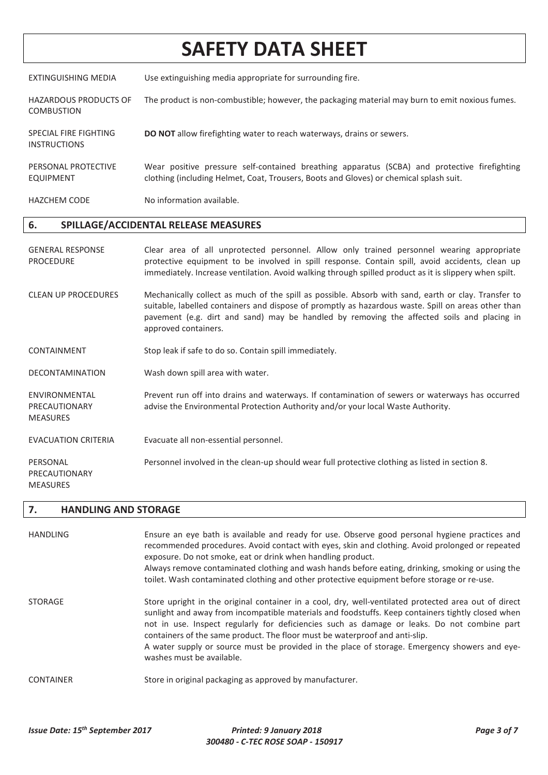EXTINGUISHING MEDIA Use extinguishing media appropriate for surrounding fire.

- HAZARDOUS PRODUCTS OF COMBUSTION The product is non-combustible; however, the packaging material may burn to emit noxious fumes.
- SPECIAL FIRE FIGHTING **DO NOT** allow firefighting water to reach waterways, drains or sewers.
- PERSONAL PROTECTIVE EQUIPMENT Wear positive pressure self-contained breathing apparatus (SCBA) and protective firefighting clothing (including Helmet, Coat, Trousers, Boots and Gloves) or chemical splash suit.

HAZCHEM CODE No information available.

### **6. SPILLAGE/ACCIDENTAL RELEASE MEASURES**

- GENERAL RESPONSE PROCEDURE Clear area of all unprotected personnel. Allow only trained personnel wearing appropriate protective equipment to be involved in spill response. Contain spill, avoid accidents, clean up immediately. Increase ventilation. Avoid walking through spilled product as it is slippery when spilt.
- CLEAN UP PROCEDURES Mechanically collect as much of the spill as possible. Absorb with sand, earth or clay. Transfer to suitable, labelled containers and dispose of promptly as hazardous waste. Spill on areas other than pavement (e.g. dirt and sand) may be handled by removing the affected soils and placing in approved containers.
- CONTAINMENT Stop leak if safe to do so. Contain spill immediately.
- DECONTAMINATION Wash down spill area with water.
- ENVIRONMENTAL PRECAUTIONARY Prevent run off into drains and waterways. If contamination of sewers or waterways has occurred advise the Environmental Protection Authority and/or your local Waste Authority.
- EVACUATION CRITERIA Evacuate all non-essential personnel.
- PERSONAL Personnel involved in the clean-up should wear full protective clothing as listed in section 8.

### **7. HANDLING AND STORAGE**

MEASURES

INSTRUCTIONS

PRECAUTIONARY MEASURES

| <b>HANDLING</b>  | Ensure an eye bath is available and ready for use. Observe good personal hygiene practices and<br>recommended procedures. Avoid contact with eyes, skin and clothing. Avoid prolonged or repeated<br>exposure. Do not smoke, eat or drink when handling product.<br>Always remove contaminated clothing and wash hands before eating, drinking, smoking or using the<br>toilet. Wash contaminated clothing and other protective equipment before storage or re-use.                                                   |
|------------------|-----------------------------------------------------------------------------------------------------------------------------------------------------------------------------------------------------------------------------------------------------------------------------------------------------------------------------------------------------------------------------------------------------------------------------------------------------------------------------------------------------------------------|
| <b>STORAGE</b>   | Store upright in the original container in a cool, dry, well-ventilated protected area out of direct<br>sunlight and away from incompatible materials and foodstuffs. Keep containers tightly closed when<br>not in use. Inspect regularly for deficiencies such as damage or leaks. Do not combine part<br>containers of the same product. The floor must be waterproof and anti-slip.<br>A water supply or source must be provided in the place of storage. Emergency showers and eye-<br>washes must be available. |
| <b>CONTAINER</b> | Store in original packaging as approved by manufacturer.                                                                                                                                                                                                                                                                                                                                                                                                                                                              |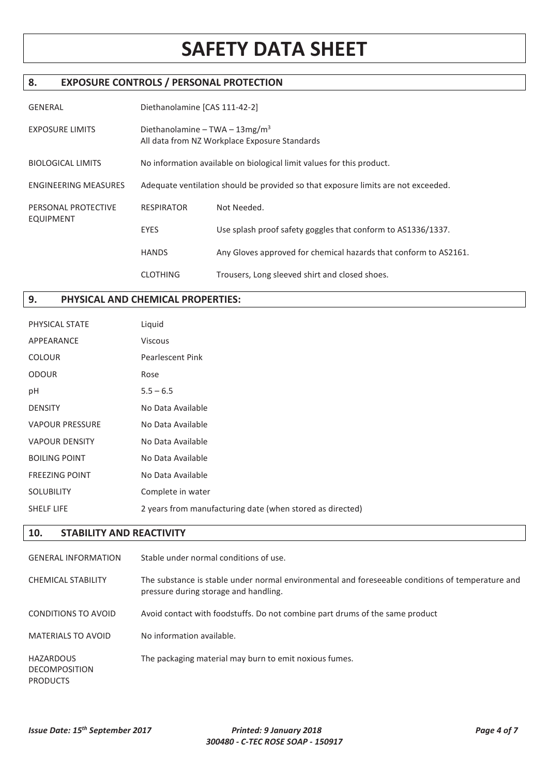## **8. EXPOSURE CONTROLS / PERSONAL PROTECTION**

| <b>GENERAL</b>                          | Diethanolamine [CAS 111-42-2]                                                               |                                                                  |  |
|-----------------------------------------|---------------------------------------------------------------------------------------------|------------------------------------------------------------------|--|
| <b>EXPOSURE LIMITS</b>                  | Diethanolamine – TWA – $13\,\text{mg/m}^3$<br>All data from NZ Workplace Exposure Standards |                                                                  |  |
| <b>BIOLOGICAL LIMITS</b>                | No information available on biological limit values for this product.                       |                                                                  |  |
| <b>ENGINEERING MEASURES</b>             | Adequate ventilation should be provided so that exposure limits are not exceeded.           |                                                                  |  |
| PERSONAL PROTECTIVE<br><b>EQUIPMENT</b> | <b>RESPIRATOR</b>                                                                           | Not Needed.                                                      |  |
|                                         | <b>EYES</b>                                                                                 | Use splash proof safety goggles that conform to AS1336/1337.     |  |
|                                         | <b>HANDS</b>                                                                                | Any Gloves approved for chemical hazards that conform to AS2161. |  |
|                                         | <b>CLOTHING</b>                                                                             | Trousers, Long sleeved shirt and closed shoes.                   |  |

## **9. PHYSICAL AND CHEMICAL PROPERTIES:**

| PHYSICAL STATE         | Liquid                                                    |
|------------------------|-----------------------------------------------------------|
| APPEARANCE             | Viscous                                                   |
| <b>COLOUR</b>          | <b>Pearlescent Pink</b>                                   |
| <b>ODOUR</b>           | Rose                                                      |
| рH                     | $5.5 - 6.5$                                               |
| <b>DENSITY</b>         | No Data Available                                         |
| <b>VAPOUR PRESSURE</b> | No Data Available                                         |
| <b>VAPOUR DENSITY</b>  | No Data Available                                         |
| <b>BOILING POINT</b>   | No Data Available                                         |
| <b>FREEZING POINT</b>  | No Data Available                                         |
| <b>SOLUBILITY</b>      | Complete in water                                         |
| SHELF LIFE             | 2 years from manufacturing date (when stored as directed) |
|                        |                                                           |

### **10. STABILITY AND REACTIVITY**

| <b>GENERAL INFORMATION</b>                           | Stable under normal conditions of use.                                                                                                    |
|------------------------------------------------------|-------------------------------------------------------------------------------------------------------------------------------------------|
| <b>CHEMICAL STABILITY</b>                            | The substance is stable under normal environmental and foreseeable conditions of temperature and<br>pressure during storage and handling. |
| CONDITIONS TO AVOID                                  | Avoid contact with foodstuffs. Do not combine part drums of the same product                                                              |
| MATERIALS TO AVOID                                   | No information available.                                                                                                                 |
| HAZARDOUS<br><b>DECOMPOSITION</b><br><b>PRODUCTS</b> | The packaging material may burn to emit noxious fumes.                                                                                    |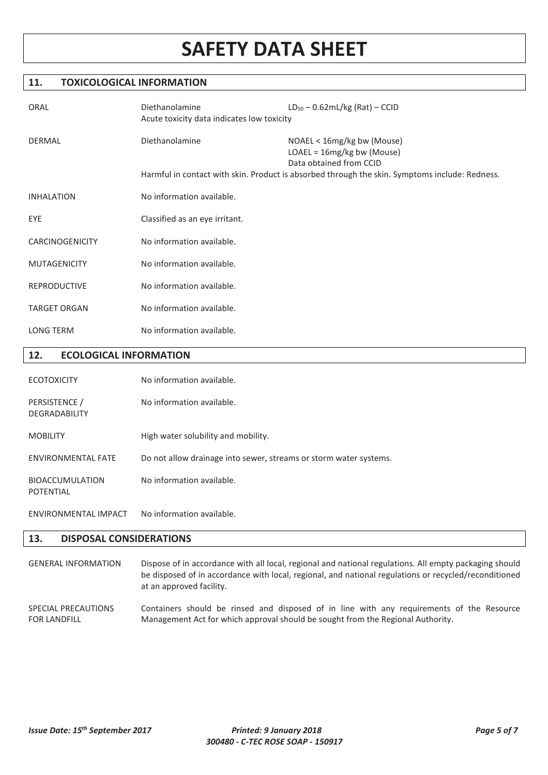### **11. TOXICOLOGICAL INFORMATION**

| ORAL                | Diethanolamine<br>Acute toxicity data indicates low toxicity | $LD_{50} - 0.62mL/kg (Rat) - CCID$                                                                                                                                                    |
|---------------------|--------------------------------------------------------------|---------------------------------------------------------------------------------------------------------------------------------------------------------------------------------------|
| DERMAL              | Diethanolamine                                               | NOAEL < 16mg/kg bw (Mouse)<br>LOAEL = 16mg/kg bw (Mouse)<br>Data obtained from CCID<br>Harmful in contact with skin. Product is absorbed through the skin. Symptoms include: Redness. |
| <b>INHALATION</b>   | No information available.                                    |                                                                                                                                                                                       |
| EYE                 | Classified as an eye irritant.                               |                                                                                                                                                                                       |
| CARCINOGENICITY     | No information available.                                    |                                                                                                                                                                                       |
| <b>MUTAGENICITY</b> | No information available.                                    |                                                                                                                                                                                       |
| <b>REPRODUCTIVE</b> | No information available.                                    |                                                                                                                                                                                       |
| <b>TARGET ORGAN</b> | No information available.                                    |                                                                                                                                                                                       |
| <b>LONG TERM</b>    | No information available.                                    |                                                                                                                                                                                       |
|                     |                                                              |                                                                                                                                                                                       |

### **12. ECOLOGICAL INFORMATION**

| <b>ECOTOXICITY</b>                    | No information available.                                         |
|---------------------------------------|-------------------------------------------------------------------|
| PERSISTENCE /<br><b>DEGRADABILITY</b> | No information available.                                         |
| <b>MOBILITY</b>                       | High water solubility and mobility.                               |
| <b>ENVIRONMENTAL FATE</b>             | Do not allow drainage into sewer, streams or storm water systems. |
| <b>BIOACCUMULATION</b><br>POTENTIAL   | No information available.                                         |
| ENVIRONMENTAL IMPACT                  | No information available.                                         |

### **13. DISPOSAL CONSIDERATIONS**

GENERAL INFORMATION Dispose of in accordance with all local, regional and national regulations. All empty packaging should be disposed of in accordance with local, regional, and national regulations or recycled/reconditioned at an approved facility. SPECIAL PRECAUTIONS

FOR LANDFILL Containers should be rinsed and disposed of in line with any requirements of the Resource Management Act for which approval should be sought from the Regional Authority.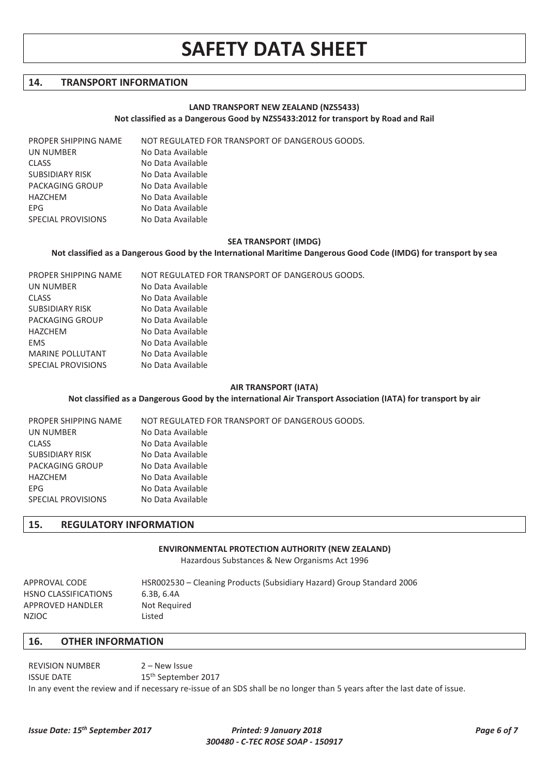### **14. TRANSPORT INFORMATION**

#### **LAND TRANSPORT NEW ZEALAND (NZS5433) Not classified as a Dangerous Good by NZS5433:2012 for transport by Road and Rail**

PROPER SHIPPING NAME NOT REGULATED FOR TRANSPORT OF DANGEROUS GOODS.

| UN NUMBER              | No Data Available |
|------------------------|-------------------|
| <b>CLASS</b>           | No Data Available |
| <b>SUBSIDIARY RISK</b> | No Data Available |
| PACKAGING GROUP        | No Data Available |
| HAZCHEM                | No Data Available |
| <b>FPG</b>             | No Data Available |
| SPECIAL PROVISIONS     | No Data Available |
|                        |                   |

#### **SEA TRANSPORT (IMDG)**

#### **Not classified as a Dangerous Good by the International Maritime Dangerous Good Code (IMDG) for transport by sea**

| NOT REGULATED FOR TRANSPORT OF DANGEROUS GOODS. |
|-------------------------------------------------|
| No Data Available                               |
| No Data Available                               |
| No Data Available                               |
| No Data Available                               |
| No Data Available                               |
| No Data Available                               |
| No Data Available                               |
| No Data Available                               |
|                                                 |

#### **AIR TRANSPORT (IATA)**

#### **Not classified as a Dangerous Good by the international Air Transport Association (IATA) for transport by air**

| PROPER SHIPPING NAME   | NOT REGULATED FOR TRANSPORT OF DANGEROUS GOODS. |
|------------------------|-------------------------------------------------|
| UN NUMBER              | No Data Available                               |
| <b>CLASS</b>           | No Data Available                               |
| <b>SUBSIDIARY RISK</b> | No Data Available                               |
| PACKAGING GROUP        | No Data Available                               |
| HAZCHEM                | No Data Available                               |
| EPG.                   | No Data Available                               |
| SPECIAL PROVISIONS     | No Data Available                               |

### **15. REGULATORY INFORMATION**

### **ENVIRONMENTAL PROTECTION AUTHORITY (NEW ZEALAND)**

Hazardous Substances & New Organisms Act 1996

| APPROVAL CODE        | HSR002530 – Cleaning Products (Subsidiary Hazard) Group Standard 2006 |
|----------------------|-----------------------------------------------------------------------|
| HSNO CLASSIFICATIONS | 6.3B. 6.4A                                                            |
| APPROVED HANDLER     | Not Required                                                          |
| NZIOC                | Listed                                                                |

### **16. OTHER INFORMATION**

REVISION NUMBER 2 – New Issue ISSUE DATE 15<sup>th</sup> September 2017 In any event the review and if necessary re-issue of an SDS shall be no longer than 5 years after the last date of issue.